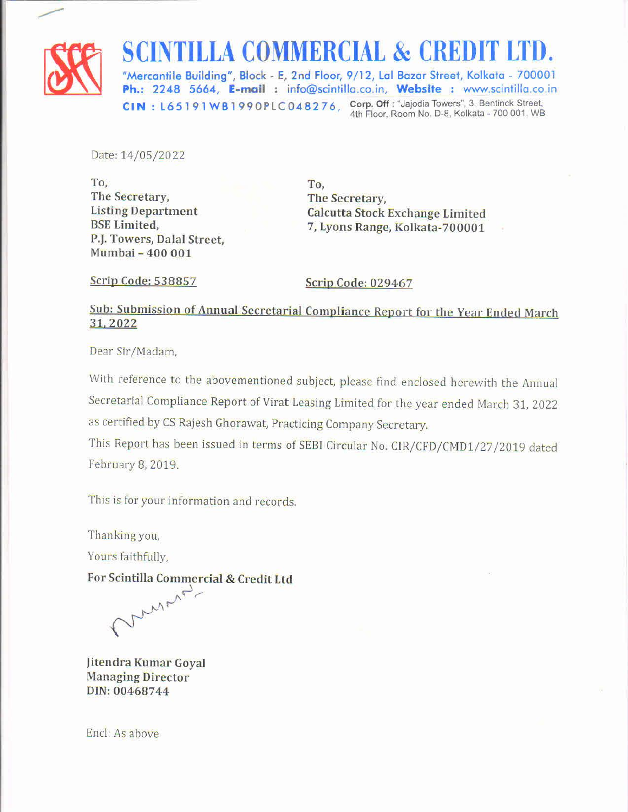

#### SCINTILLA COMMERCIAL & CREDIT LTD.

"Mercantile Building", Block - E, 2nd Floor, 9/12, Lal Bazar Street, Kolkata - 700001 Ph.: 2248 5664, E-mail : info@scintilla.co.in, Website : www.scintilla.co.in CIN : L65191WB1990PLC048276, Corp. Off : "Jajodia Towers", 3, Bentinck Street, 4th Floor, Room No. D-8, Kolkata - 700 001, WB

Date: 14/05/2022

To, The Secretary, Listing Department BSE Limited, P.J. Towers, Dalal Street, Mumbai - 400 001

To, The Secretary, Calcutta Stock Exchange Limited 7, Lyons Range, Kolkata-700001

Scrip Code: 538857

Scrip Code: 029467

### Sub: Submission of Annual Secretarial Compliance Report for the Year Ended March 31, 2022

Dear Sir/Madam,

With reference to the abovementioned subject, please find enclosed herewith the Annual Secretarial Compliance Report of Virat Leasing Limited for the year ended March 31, 2022 as certified by CS Rajesh Ghorawat, Practicing Company Secretary.

This Report has been issued in terms of SEBI Circular No. CIR/CFD/CMD1/27/2019 dated February 8, 2019.

This is for your information and records.

Thanking you,

Yours faithfully,

For Scintilla Commercial & Credit Ltd

my Marien

Jitendra Kumar Goyal Managing Director DIN: 00468744

Encl: As above

the contract of the contract of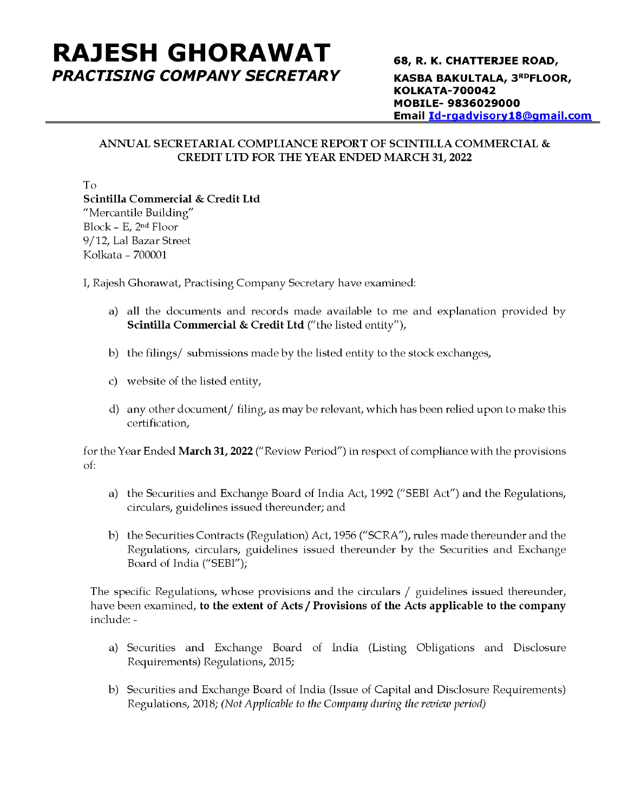#### RAJESH GHORAWAT 68, R. K. CHATTERJEE ROAD, PRACTISING COMPANY SECRETARY KASBA BAKULTALA, 3RDFLOOR,

KOLKATA-700042 MOBILE- 9836029000 Email Id-rgadvisory18@qmail.com

#### ANNUAL SECRETARIAL COMPLIANCE REPORT OF SCINTILLA COMMERCIAL & CREDIT LTD FOR THE YEAR ENDED MARCH 31, 2022

To

Scintilla Commercial & Credit Ltd "Mercantile Building" Block - E,  $2<sup>nd</sup>$  Floor 9/12, Lal Bazar Street Kolkata - 700001

I, Rajesh Ghorawat, Practising Company Secretary have examined:

- a) all the documents and records made available to me and explanation provided by Scintilla Commercial & Credit Ltd ("the listed entity"),
- b) the filings/ submissions made by the listed entity to the stock exchanges,
- c) website of the listed entity,
- d) any other document/ filing, as may be relevant, which has been relied upon to make this certification,

for the Year Ended March 31, 2022 ("Review Period") in respect of compliance with the provisions of:

- a) the Securities and Exchange Board of India Act, 1992 ("SEBI Act") and the Regulations, circulars, guidelines issued thereunder; and
- b) the Securities Contracts (Regulation) Act, 1956 ("SCRA"), rules made thereunder and the Regulations, circulars, guidelines issued thereunder by the Securities and Exchange Board of India ("SEBI");

The specific Regulations, whose provisions and the circulars / guidelines issued thereunder, have been examined, to the extent of Acts / Provisions of the Acts applicable to the company include: -

- a) Securities and Exchange Board of India (Listing Obligations and Disclosure Requirements) Regulations, 2015;
- b) Securities and Exchange Board of India (Issue of Capital and Disclosure Requirements) Regulations, 2018; (Not Applicable to the Company during the review period)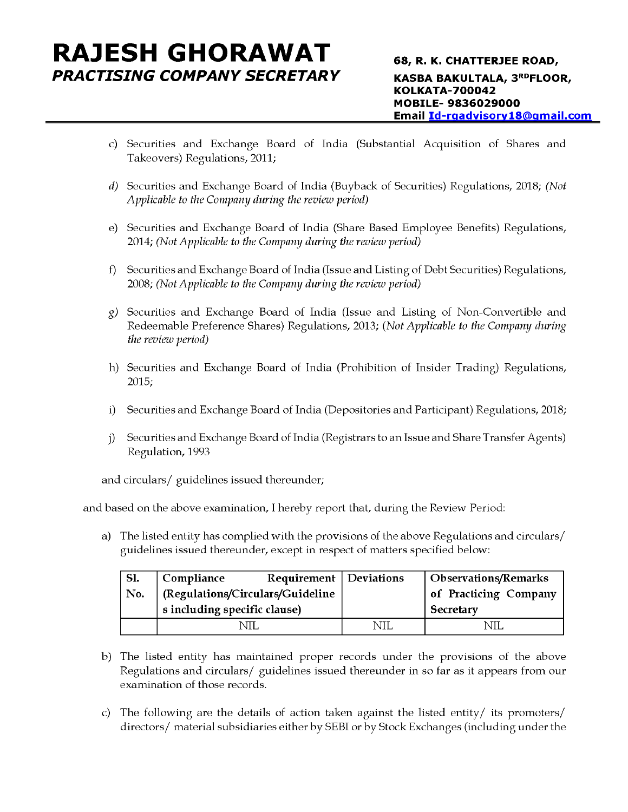## RAJESH GHORAWAT 68, R. K. CHATTERJEE ROAD,

- c) Securities and Exchange Board of India (Substantial Acquisition of Shares and Takeovers) Regulations, 2011;
- d) Securities and Exchange Board of India (Buyback of Securities) Regulations, 2018; (Not Applicable to the Company during the review period)
- e) Securities and Exchange Board of India (Share Based Employee Benefits) Regulations, 2014; (Not Applicable to the Company during the review period)
- f) Securities and Exchange Board of India (Issue and Listing of Debt Securities) Regulations, 2008; (Not Applicable to the Company during the review period)
- g) Securities and Exchange Board of India (Issue and Listing of Non-Convertible and Redeemable Preference Shares) Regulations, 2013; (Not Applicable to the Company during the review period) Securities and Exchange Board of Indi<br>Takeovers) Regulations, 2011;<br>Securities and Exchange Board of India (B<br>Applicable to the Company during the review p<br>Securities and Exchange Board of India (S<br>2014; (Not Applicable to
- h) Securities and Exchange Board of India (Prohibition of Insider Trading) Regulations, 2015;
- i) Securities and Exchange Board of India (Depositories and Participant) Regulations, 2018;
- j) Securities and Exchange Board of India (Registrars to an Issue and Share Transfer Agents) Regulation, 1993

and circulars/ guidelines issued thereunder;

and based on the above examination, I hereby report that, during the Review Period:

a) The listed entity has complied with the provisions of the above Regulations and circulars/ guidelines issued thereunder, except in respect of matters specified below:

|                                                                                                                                                                           | Securities and Exchange Board of India (Buyback of Securities) Regulations, 2018; (Not<br>Applicable to the Company during the review period)                                                    |            |                             |  |  |  |  |  |
|---------------------------------------------------------------------------------------------------------------------------------------------------------------------------|--------------------------------------------------------------------------------------------------------------------------------------------------------------------------------------------------|------------|-----------------------------|--|--|--|--|--|
|                                                                                                                                                                           | Securities and Exchange Board of India (Share Based Employee Benefits) Regulations,<br>2014; (Not Applicable to the Company during the review period)                                            |            |                             |  |  |  |  |  |
|                                                                                                                                                                           | Securities and Exchange Board of India (Issue and Listing of Debt Securities) Regulations,<br>2008; (Not Applicable to the Company during the review period)                                     |            |                             |  |  |  |  |  |
|                                                                                                                                                                           | Securities and Exchange Board of India (Issue and Listing of Non-Convertible and<br>Redeemable Preference Shares) Regulations, 2013; (Not Applicable to the Company during<br>the review period) |            |                             |  |  |  |  |  |
| 2015;                                                                                                                                                                     | Securities and Exchange Board of India (Prohibition of Insider Trading) Regulations,                                                                                                             |            |                             |  |  |  |  |  |
|                                                                                                                                                                           | Securities and Exchange Board of India (Depositories and Participant) Regulations, 2018,                                                                                                         |            |                             |  |  |  |  |  |
|                                                                                                                                                                           | Securities and Exchange Board of India (Registrars to an Issue and Share Transfer Agents)<br>Regulation, 1993                                                                                    |            |                             |  |  |  |  |  |
| circulars/ guidelines issued thereunder;                                                                                                                                  |                                                                                                                                                                                                  |            |                             |  |  |  |  |  |
| sed on the above examination, I hereby report that, during the Review Period:                                                                                             |                                                                                                                                                                                                  |            |                             |  |  |  |  |  |
| The listed entity has complied with the provisions of the above Regulations and circulars/<br>guidelines issued thereunder, except in respect of matters specified below: |                                                                                                                                                                                                  |            |                             |  |  |  |  |  |
| <b>S1.</b>                                                                                                                                                                | Requirement<br>Compliance                                                                                                                                                                        | Deviations | <b>Observations/Remarks</b> |  |  |  |  |  |
| No.                                                                                                                                                                       | (Regulations/Circulars/Guideline                                                                                                                                                                 |            | of Practicing Company       |  |  |  |  |  |
|                                                                                                                                                                           | s including specific clause)                                                                                                                                                                     |            | Secretary                   |  |  |  |  |  |
|                                                                                                                                                                           | NIL                                                                                                                                                                                              | <b>NIL</b> | <b>NIL</b>                  |  |  |  |  |  |

- b) The listed entity has maintained proper records under the provisions of the above Regulations and circulars/ guidelines issued thereunder in so far as it appears from our examination of those records.
- c) The following are the details of action taken against the listed entity/ its promoters/ directors/ material subsidiaries either by SEBI or by Stock Exchanges (including under the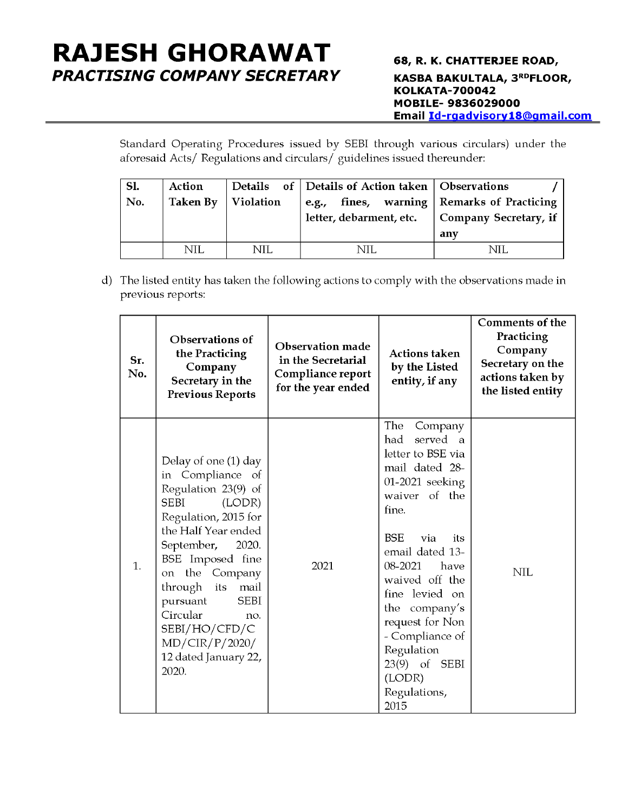# RAJESH GHORAWAT 68, R. K. CHATTERJEE ROAD, **SH GHORAWAT**<br>
Francian Company SECRETARY<br>
Standard Operating Procedures issued by<br>
aforesaid Acts/ Regulations and circulars/ g

PRACTISING COMPANY SECRETARY KASBA BAKULTALA, 3<sup>rd</sup>Floor,<br>KOLKATA-700042<br>MOBILE- 9836029000 Email Id-rgadvisory18@qmail.com

|            | <b>SH GHORAWAT</b> : |                        |                                                                                                                                                               |                                                                                                                                             |
|------------|----------------------|------------------------|---------------------------------------------------------------------------------------------------------------------------------------------------------------|---------------------------------------------------------------------------------------------------------------------------------------------|
|            |                      | SING COMPANY SECRETARY |                                                                                                                                                               | 68, R. K. CHATTERJEE ROAD,<br><b>KASBA BAKULTALA, 3RDFLOOF</b><br><b>KOLKATA-700042</b><br>MOBILE-9836029000<br>Email Id-rgadvisory18@gmail |
|            |                      |                        | Standard Operating Procedures issued by SEBI through various circulars) under the<br>aforesaid Acts/ Regulations and circulars/ guidelines issued thereunder: |                                                                                                                                             |
| <b>S1.</b> | <b>Action</b>        | <b>Details</b><br>оf   | Details of Action taken                                                                                                                                       | Observations                                                                                                                                |
| No.        | <b>Taken By</b>      | Violation              | fines,<br>warning<br>e.g.,<br>letter, debarment, etc.                                                                                                         | <b>Remarks of Practicing</b><br>Company Secretary, if<br>any                                                                                |

|            | <b>SH GHORAWAT</b><br>SING COMPANY SECRETARY                                                                                                                                                                                                                                               |                                                          |    | aforesaid Acts/ Regulations and circulars/ guidelines issued thereunder:          | <b>KOLKATA-700042</b>                                                                                                                                                                                                                                                                                                                               |     | 68, R. K. CHATTERJEE ROAD,<br><b>KASBA BAKULTALA, 3RDFLOOR,</b><br>MOBILE-9836029000<br>Email Id-rgadvisory18@gmail.co<br>Standard Operating Procedures issued by SEBI through various circulars) under the |  |
|------------|--------------------------------------------------------------------------------------------------------------------------------------------------------------------------------------------------------------------------------------------------------------------------------------------|----------------------------------------------------------|----|-----------------------------------------------------------------------------------|-----------------------------------------------------------------------------------------------------------------------------------------------------------------------------------------------------------------------------------------------------------------------------------------------------------------------------------------------------|-----|-------------------------------------------------------------------------------------------------------------------------------------------------------------------------------------------------------------|--|
| Sl.<br>No. | Action<br><b>Details</b><br><b>Taken By</b><br>Violation                                                                                                                                                                                                                                   |                                                          | of | Details of Action taken<br>fines, warning<br>e.g.,<br>letter, debarment, etc.     |                                                                                                                                                                                                                                                                                                                                                     | any | Observations<br><b>Remarks of Practicing</b><br>Company Secretary, if                                                                                                                                       |  |
|            | <b>NIL</b><br><b>NIL</b><br><b>NIL</b><br><b>NIL</b><br>The listed entity has taken the following actions to comply with the observations made in<br>previous reports:                                                                                                                     |                                                          |    |                                                                                   |                                                                                                                                                                                                                                                                                                                                                     |     |                                                                                                                                                                                                             |  |
| Sr.<br>No. | Observations of<br>the Practicing<br>Company<br>Secretary in the<br><b>Previous Reports</b>                                                                                                                                                                                                |                                                          |    | Observation made<br>in the Secretarial<br>Compliance report<br>for the year ended | <b>Actions taken</b><br>by the Listed<br>entity, if any                                                                                                                                                                                                                                                                                             |     | <b>Comments of the</b><br>Practicing<br>Company<br>Secretary on the<br>actions taken by<br>the listed entity                                                                                                |  |
| 1.         | Delay of one (1) day<br>in Compliance of<br>Regulation 23(9) of<br><b>SEBI</b><br>Regulation, 2015 for<br>the Half Year ended<br>September,<br>BSE Imposed fine<br>the<br>on<br>through<br>its<br>pursuant<br>Circular<br>SEBI/HO/CFD/C<br>MD/CIR/P/2020/<br>12 dated January 22,<br>2020. | (LODR)<br>2020.<br>Company<br>mail<br><b>SEBI</b><br>no. |    | 2021                                                                              | The<br>Company<br>served a<br>had<br>letter to BSE via<br>mail dated 28-<br>01-2021 seeking<br>waiver of the<br>fine.<br><b>BSE</b><br>via<br>its<br>email dated 13-<br>08-2021<br>have<br>waived off the<br>fine levied on<br>the company's<br>request for Non<br>- Compliance of<br>Regulation<br>23(9) of SEBI<br>(LODR)<br>Regulations,<br>2015 |     | <b>NIL</b>                                                                                                                                                                                                  |  |